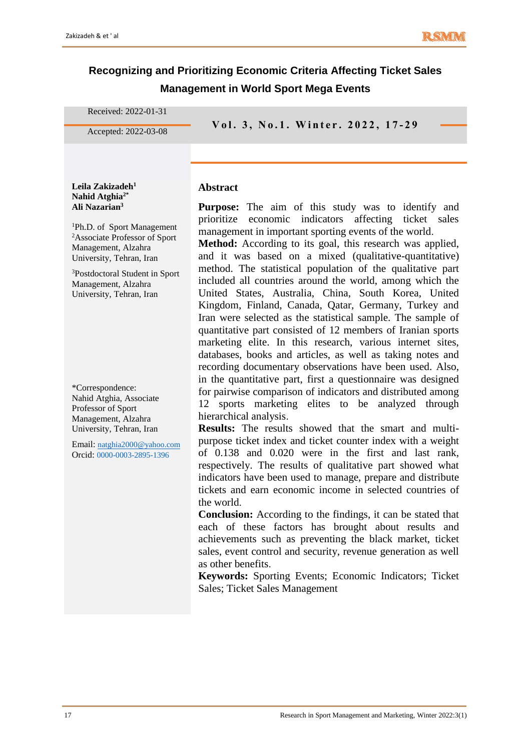# **Recognizing and Prioritizing Economic Criteria Affecting Ticket Sales Management in World Sport Mega Events**

Received: 2022-01-31

**V o l . 3 , N o . <sup>1</sup> . W i n t e r . 2 0 2 <sup>2</sup> , 1 7 - 2 9** Accepted: 2022-03-08

### **Abstract**

**Purpose:** The aim of this study was to identify and prioritize economic indicators affecting ticket sales management in important sporting events of the world.

**Method:** According to its goal, this research was applied, and it was based on a mixed (qualitative-quantitative) method. The statistical population of the qualitative part included all countries around the world, among which the United States, Australia, China, South Korea, United Kingdom, Finland, Canada, Qatar, Germany, Turkey and Iran were selected as the statistical sample. The sample of quantitative part consisted of 12 members of Iranian sports marketing elite. In this research, various internet sites, databases, books and articles, as well as taking notes and recording documentary observations have been used. Also, in the quantitative part, first a questionnaire was designed for pairwise comparison of indicators and distributed among 12 sports marketing elites to be analyzed through hierarchical analysis.

**Results:** The results showed that the smart and multipurpose ticket index and ticket counter index with a weight of 0.138 and 0.020 were in the first and last rank, respectively. The results of qualitative part showed what indicators have been used to manage, prepare and distribute tickets and earn economic income in selected countries of the world.

**Conclusion:** According to the findings, it can be stated that each of these factors has brought about results and achievements such as preventing the black market, ticket sales, event control and security, revenue generation as well as other benefits.

**Keywords:** Sporting Events; Economic Indicators; Ticket Sales; Ticket Sales Management

**Ali Nazarian<sup>3</sup>** <sup>1</sup>Ph.D. of Sport Management <sup>2</sup>Associate Professor of Sport

Management, Alzahra

**Leila Zakizadeh<sup>1</sup> Nahid Atghia2\***

University, Tehran, Iran <sup>3</sup>Postdoctoral Student in Sport Management, Alzahra University, Tehran, Iran

\*Correspondence: Nahid Atghia, Associate Professor of Sport Management, Alzahra University, Tehran, Iran

Email: [natghia2000@yahoo.com](mailto:natghia2000@yahoo.com) Orcid: 0000-0003-2895-1396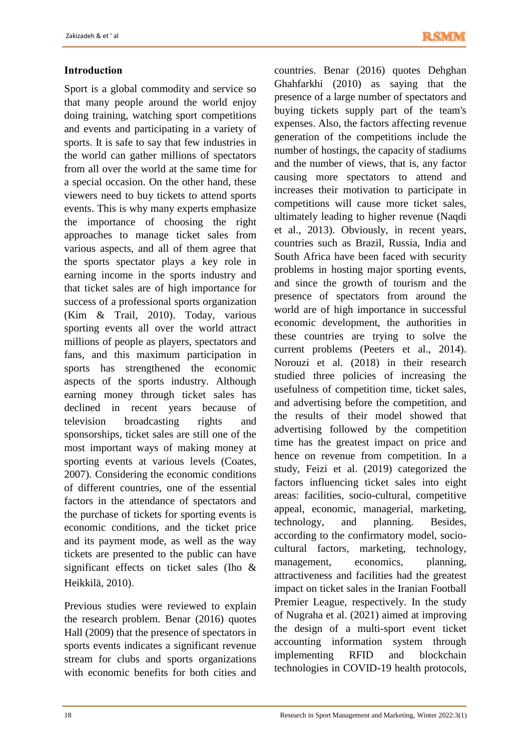# **Introduction**

Sport is a global commodity and service so that many people around the world enjoy doing training, watching sport competitions and events and participating in a variety of sports. It is safe to say that few industries in the world can gather millions of spectators from all over the world at the same time for a special occasion. On the other hand, these viewers need to buy tickets to attend sports events. This is why many experts emphasize the importance of choosing the right approaches to manage ticket sales from various aspects, and all of them agree that the sports spectator plays a key role in earning income in the sports industry and that ticket sales are of high importance for success of a professional sports organization (Kim & Trail, 2010). Today, various sporting events all over the world attract millions of people as players, spectators and fans, and this maximum participation in sports has strengthened the economic aspects of the sports industry. Although earning money through ticket sales has declined in recent years because of television broadcasting rights and sponsorships, ticket sales are still one of the most important ways of making money at sporting events at various levels (Coates, 2007). Considering the economic conditions of different countries, one of the essential factors in the attendance of spectators and the purchase of tickets for sporting events is economic conditions, and the ticket price and its payment mode, as well as the way tickets are presented to the public can have significant effects on ticket sales (Iho & Heikkilä, 2010).

Previous studies were reviewed to explain the research problem. Benar (2016) quotes Hall (2009) that the presence of spectators in sports events indicates a significant revenue stream for clubs and sports organizations with economic benefits for both cities and

countries. Benar (2016) quotes Dehghan Ghahfarkhi (2010) as saying that the presence of a large number of spectators and buying tickets supply part of the team's expenses. Also, the factors affecting revenue generation of the competitions include the number of hostings, the capacity of stadiums and the number of views, that is, any factor causing more spectators to attend and increases their motivation to participate in competitions will cause more ticket sales, ultimately leading to higher revenue (Naqdi et al., 2013). Obviously, in recent years, countries such as Brazil, Russia, India and South Africa have been faced with security problems in hosting major sporting events, and since the growth of tourism and the presence of spectators from around the world are of high importance in successful economic development, the authorities in these countries are trying to solve the current problems (Peeters et al., 2014). Norouzi et al. (2018) in their research studied three policies of increasing the usefulness of competition time, ticket sales, and advertising before the competition, and the results of their model showed that advertising followed by the competition time has the greatest impact on price and hence on revenue from competition. In a study, Feizi et al. (2019) categorized the factors influencing ticket sales into eight areas: facilities, socio-cultural, competitive appeal, economic, managerial, marketing, technology, and planning. Besides, according to the confirmatory model, sociocultural factors, marketing, technology, management, economics, planning, attractiveness and facilities had the greatest impact on ticket sales in the Iranian Football Premier League, respectively. In the study of Nugraha et al. (2021) aimed at improving the design of a multi-sport event ticket accounting information system through implementing RFID and blockchain technologies in COVID-19 health protocols,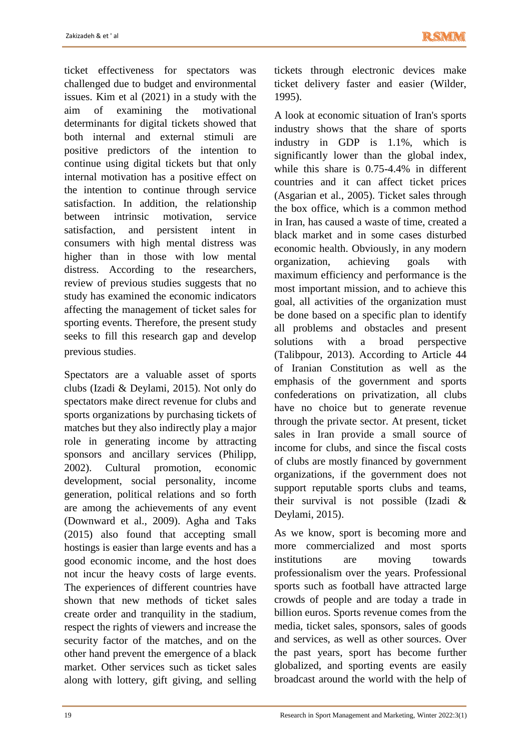ticket effectiveness for spectators was challenged due to budget and environmental issues. Kim et al (2021) in a study with the aim of examining the motivational determinants for digital tickets showed that both internal and external stimuli are positive predictors of the intention to continue using digital tickets but that only internal motivation has a positive effect on the intention to continue through service satisfaction. In addition, the relationship between intrinsic motivation, service satisfaction, and persistent intent in consumers with high mental distress was higher than in those with low mental distress. According to the researchers, review of previous studies suggests that no study has examined the economic indicators affecting the management of ticket sales for sporting events. Therefore, the present study seeks to fill this research gap and develop previous studies.

Spectators are a valuable asset of sports clubs (Izadi & Deylami, 2015). Not only do spectators make direct revenue for clubs and sports organizations by purchasing tickets of matches but they also indirectly play a major role in generating income by attracting sponsors and ancillary services (Philipp, 2002). Cultural promotion, economic development, social personality, income generation, political relations and so forth are among the achievements of any event (Downward et al., 2009). Agha and Taks (2015) also found that accepting small hostings is easier than large events and has a good economic income, and the host does not incur the heavy costs of large events. The experiences of different countries have shown that new methods of ticket sales create order and tranquility in the stadium, respect the rights of viewers and increase the security factor of the matches, and on the other hand prevent the emergence of a black market. Other services such as ticket sales along with lottery, gift giving, and selling tickets through electronic devices make ticket delivery faster and easier (Wilder, 1995).

A look at economic situation of Iran's sports industry shows that the share of sports industry in GDP is 1.1%, which is significantly lower than the global index, while this share is 0.75-4.4% in different countries and it can affect ticket prices (Asgarian et al., 2005). Ticket sales through the box office, which is a common method in Iran, has caused a waste of time, created a black market and in some cases disturbed economic health. Obviously, in any modern organization, achieving goals with maximum efficiency and performance is the most important mission, and to achieve this goal, all activities of the organization must be done based on a specific plan to identify all problems and obstacles and present solutions with a broad perspective (Talibpour, 2013). According to Article 44 of Iranian Constitution as well as the emphasis of the government and sports confederations on privatization, all clubs have no choice but to generate revenue through the private sector. At present, ticket sales in Iran provide a small source of income for clubs, and since the fiscal costs of clubs are mostly financed by government organizations, if the government does not support reputable sports clubs and teams, their survival is not possible (Izadi & Deylami, 2015).

As we know, sport is becoming more and more commercialized and most sports institutions are moving towards professionalism over the years. Professional sports such as football have attracted large crowds of people and are today a trade in billion euros. Sports revenue comes from the media, ticket sales, sponsors, sales of goods and services, as well as other sources. Over the past years, sport has become further globalized, and sporting events are easily broadcast around the world with the help of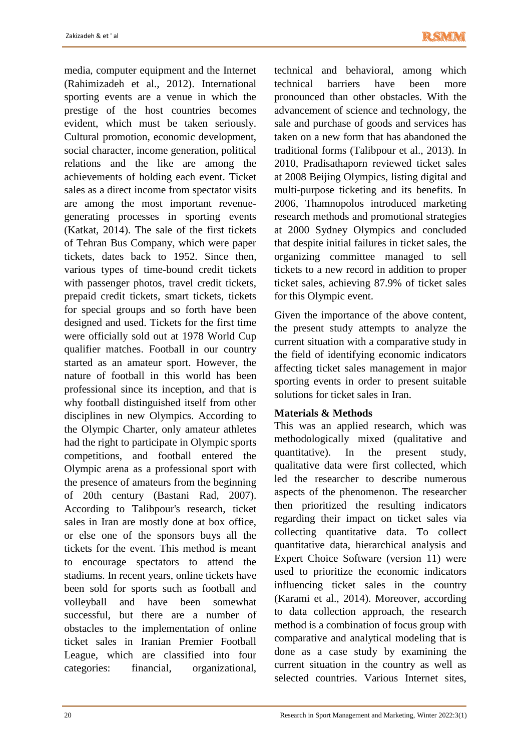media, computer equipment and the Internet (Rahimizadeh et al., 2012). International sporting events are a venue in which the prestige of the host countries becomes evident, which must be taken seriously. Cultural promotion, economic development, social character, income generation, political relations and the like are among the achievements of holding each event. Ticket sales as a direct income from spectator visits are among the most important revenuegenerating processes in sporting events (Katkat, 2014). The sale of the first tickets of Tehran Bus Company, which were paper tickets, dates back to 1952. Since then, various types of time-bound credit tickets with passenger photos, travel credit tickets, prepaid credit tickets, smart tickets, tickets for special groups and so forth have been designed and used. Tickets for the first time were officially sold out at 1978 World Cup qualifier matches. Football in our country started as an amateur sport. However, the nature of football in this world has been professional since its inception, and that is why football distinguished itself from other disciplines in new Olympics. According to the Olympic Charter, only amateur athletes had the right to participate in Olympic sports competitions, and football entered the Olympic arena as a professional sport with the presence of amateurs from the beginning of 20th century (Bastani Rad, 2007). According to Talibpour's research, ticket sales in Iran are mostly done at box office, or else one of the sponsors buys all the tickets for the event. This method is meant to encourage spectators to attend the stadiums. In recent years, online tickets have been sold for sports such as football and volleyball and have been somewhat successful, but there are a number of obstacles to the implementation of online ticket sales in Iranian Premier Football League, which are classified into four categories: financial, organizational,

technical and behavioral, among which technical barriers have been more pronounced than other obstacles. With the advancement of science and technology, the sale and purchase of goods and services has taken on a new form that has abandoned the traditional forms (Talibpour et al., 2013). In 2010, Pradisathaporn reviewed ticket sales at 2008 Beijing Olympics, listing digital and multi-purpose ticketing and its benefits. In 2006, Thamnopolos introduced marketing research methods and promotional strategies at 2000 Sydney Olympics and concluded that despite initial failures in ticket sales, the organizing committee managed to sell tickets to a new record in addition to proper ticket sales, achieving 87.9% of ticket sales for this Olympic event.

Given the importance of the above content, the present study attempts to analyze the current situation with a comparative study in the field of identifying economic indicators affecting ticket sales management in major sporting events in order to present suitable solutions for ticket sales in Iran.

### **Materials & Methods**

This was an applied research, which was methodologically mixed (qualitative and quantitative). In the present study, qualitative data were first collected, which led the researcher to describe numerous aspects of the phenomenon. The researcher then prioritized the resulting indicators regarding their impact on ticket sales via collecting quantitative data. To collect quantitative data, hierarchical analysis and Expert Choice Software (version 11) were used to prioritize the economic indicators influencing ticket sales in the country (Karami et al., 2014). Moreover, according to data collection approach, the research method is a combination of focus group with comparative and analytical modeling that is done as a case study by examining the current situation in the country as well as selected countries. Various Internet sites,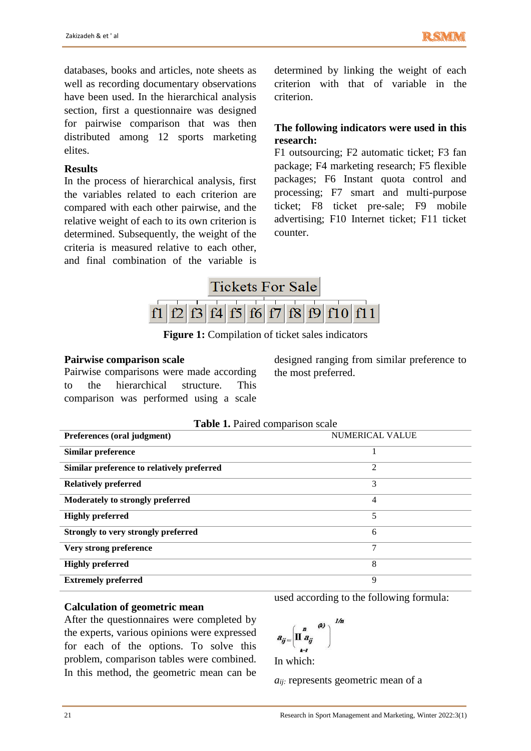databases, books and articles, note sheets as well as recording documentary observations have been used. In the hierarchical analysis section, first a questionnaire was designed for pairwise comparison that was then distributed among 12 sports marketing elites.

#### **Results**

In the process of hierarchical analysis, first the variables related to each criterion are compared with each other pairwise, and the relative weight of each to its own criterion is determined. Subsequently, the weight of the criteria is measured relative to each other, and final combination of the variable is

determined by linking the weight of each criterion with that of variable in the criterion.

# **The following indicators were used in this research:**

F1 outsourcing; F2 automatic ticket; F3 fan package; F4 marketing research; F5 flexible packages; F6 Instant quota control and processing; F7 smart and multi-purpose ticket; F8 ticket pre-sale; F9 mobile advertising; F10 Internet ticket; F11 ticket counter.



**Figure 1:** Compilation of ticket sales indicators

#### **Pairwise comparison scale**

Pairwise comparisons were made according to the hierarchical structure. This comparison was performed using a scale

designed ranging from similar preference to the most preferred.

| <b>rapic 1.</b> I alleg comparison searc   |                        |  |  |  |  |
|--------------------------------------------|------------------------|--|--|--|--|
| Preferences (oral judgment)                | <b>NUMERICAL VALUE</b> |  |  |  |  |
| Similar preference                         |                        |  |  |  |  |
| Similar preference to relatively preferred | 2                      |  |  |  |  |
| <b>Relatively preferred</b>                | 3                      |  |  |  |  |
| Moderately to strongly preferred           | 4                      |  |  |  |  |
| <b>Highly preferred</b>                    | 5                      |  |  |  |  |
| Strongly to very strongly preferred        | 6                      |  |  |  |  |
| Very strong preference                     | 7                      |  |  |  |  |
| <b>Highly preferred</b>                    | 8                      |  |  |  |  |
| <b>Extremely preferred</b>                 | 9                      |  |  |  |  |

#### **Table 1.** Paired comparison scale

#### **Calculation of geometric mean**

After the questionnaires were completed by the experts, various opinions were expressed for each of the options. To solve this problem, comparison tables were combined. In this method, the geometric mean can be

used according to the following formula:

$$
a_{ij} = \left(\begin{matrix} a & a \\ \prod_{i=1}^n a_{ij} & \end{matrix}\right)^{1/n}
$$

In which:

*aij:* represents geometric mean of a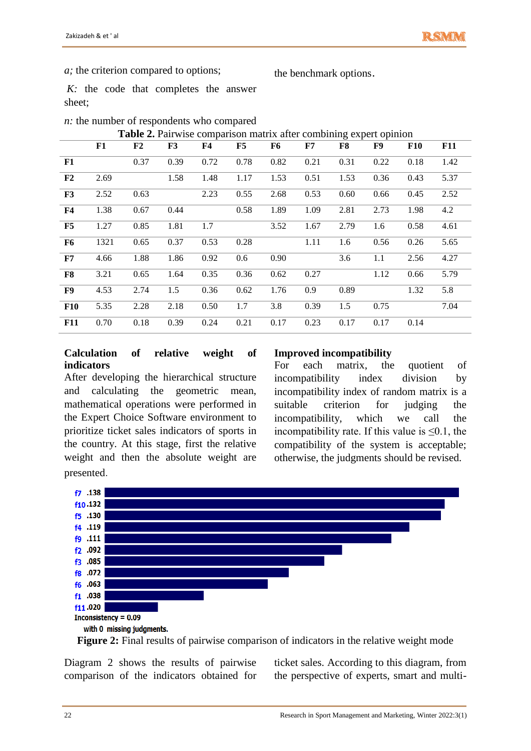*a;* the criterion compared to options;

the benchmark options**.**

*K*: the code that completes the answer sheet;

| $n$ : the number of respondents who compared |
|----------------------------------------------|
|----------------------------------------------|

**Table 2.** Pairwise comparison matrix after combining expert opinion

|                | F1   | F <sub>2</sub> | F3   | F <sub>4</sub> | F5   | F6   | F7   | F8   | F9   | <b>F10</b> | <b>F11</b> |
|----------------|------|----------------|------|----------------|------|------|------|------|------|------------|------------|
| F1             |      | 0.37           | 0.39 | 0.72           | 0.78 | 0.82 | 0.21 | 0.31 | 0.22 | 0.18       | 1.42       |
| F <sub>2</sub> | 2.69 |                | 1.58 | 1.48           | 1.17 | 1.53 | 0.51 | 1.53 | 0.36 | 0.43       | 5.37       |
| F3             | 2.52 | 0.63           |      | 2.23           | 0.55 | 2.68 | 0.53 | 0.60 | 0.66 | 0.45       | 2.52       |
| ${\bf F4}$     | 1.38 | 0.67           | 0.44 |                | 0.58 | 1.89 | 1.09 | 2.81 | 2.73 | 1.98       | 4.2        |
| F5             | 1.27 | 0.85           | 1.81 | 1.7            |      | 3.52 | 1.67 | 2.79 | 1.6  | 0.58       | 4.61       |
| <b>F6</b>      | 1321 | 0.65           | 0.37 | 0.53           | 0.28 |      | 1.11 | 1.6  | 0.56 | 0.26       | 5.65       |
| ${\bf F7}$     | 4.66 | 1.88           | 1.86 | 0.92           | 0.6  | 0.90 |      | 3.6  | 1.1  | 2.56       | 4.27       |
| F8             | 3.21 | 0.65           | 1.64 | 0.35           | 0.36 | 0.62 | 0.27 |      | 1.12 | 0.66       | 5.79       |
| F9             | 4.53 | 2.74           | 1.5  | 0.36           | 0.62 | 1.76 | 0.9  | 0.89 |      | 1.32       | 5.8        |
| <b>F10</b>     | 5.35 | 2.28           | 2.18 | 0.50           | 1.7  | 3.8  | 0.39 | 1.5  | 0.75 |            | 7.04       |
| <b>F11</b>     | 0.70 | 0.18           | 0.39 | 0.24           | 0.21 | 0.17 | 0.23 | 0.17 | 0.17 | 0.14       |            |

#### **Calculation of relative weight of indicators**

After developing the hierarchical structure and calculating the geometric mean, mathematical operations were performed in the Expert Choice Software environment to prioritize ticket sales indicators of sports in the country. At this stage, first the relative weight and then the absolute weight are presented.

### **Improved incompatibility**

For each matrix, the quotient of incompatibility index division by incompatibility index of random matrix is a suitable criterion for judging the incompatibility, which we call the incompatibility rate. If this value is  $\leq 0.1$ , the compatibility of the system is acceptable; otherwise, the judgments should be revised.



**Figure 2:** Final results of pairwise comparison of indicators in the relative weight mode

Diagram 2 shows the results of pairwise comparison of the indicators obtained for ticket sales. According to this diagram, from the perspective of experts, smart and multi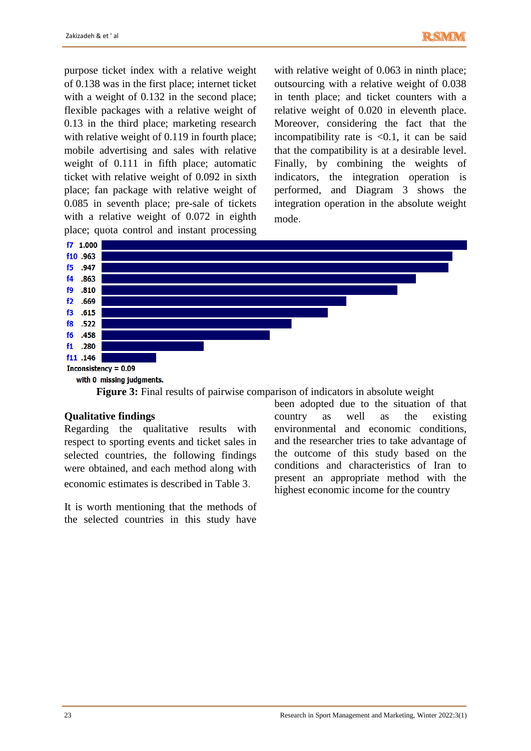purpose ticket index with a relative weight of 0.138 was in the first place; internet ticket with a weight of 0.132 in the second place; flexible packages with a relative weight of 0.13 in the third place; marketing research with relative weight of 0.119 in fourth place; mobile advertising and sales with relative weight of 0.111 in fifth place; automatic ticket with relative weight of 0.092 in sixth place; fan package with relative weight of 0.085 in seventh place; pre-sale of tickets with a relative weight of 0.072 in eighth place; quota control and instant processing

with relative weight of 0.063 in ninth place; outsourcing with a relative weight of 0.038 in tenth place; and ticket counters with a relative weight of 0.020 in eleventh place. Moreover, considering the fact that the incompatibility rate is  $\langle 0.1$ , it can be said that the compatibility is at a desirable level. Finally, by combining the weights of indicators, the integration operation is performed, and Diagram 3 shows the integration operation in the absolute weight mode.





#### **Qualitative findings**

Regarding the qualitative results with respect to sporting events and ticket sales in selected countries, the following findings were obtained, and each method along with economic estimates is described in Table 3.

It is worth mentioning that the methods of the selected countries in this study have

been adopted due to the situation of that country as well as the existing environmental and economic conditions, and the researcher tries to take advantage of the outcome of this study based on the conditions and characteristics of Iran to present an appropriate method with the highest economic income for the country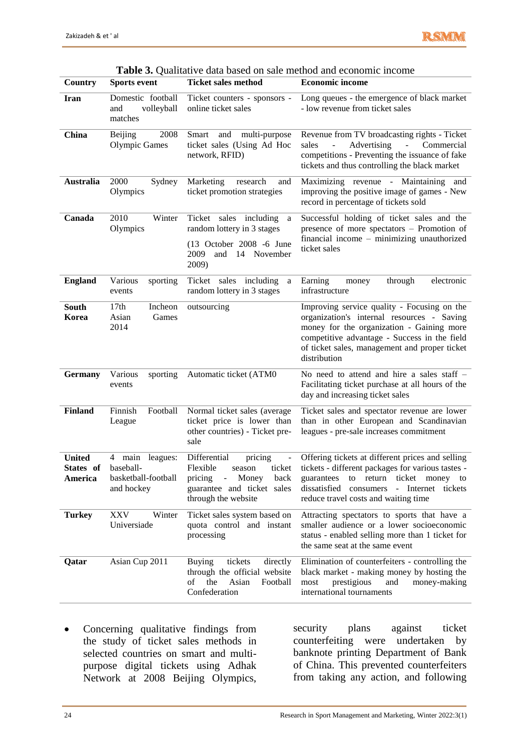| Country                               | <b>Sports event</b>                                                     | <b>Ticket sales method</b>                                                                                                                                   | <b>Economic income</b>                                                                                                                                                                                                                                           |  |  |  |
|---------------------------------------|-------------------------------------------------------------------------|--------------------------------------------------------------------------------------------------------------------------------------------------------------|------------------------------------------------------------------------------------------------------------------------------------------------------------------------------------------------------------------------------------------------------------------|--|--|--|
| <b>Iran</b>                           | Domestic football<br>volleyball<br>and<br>matches                       | Ticket counters - sponsors -<br>online ticket sales                                                                                                          | Long queues - the emergence of black market<br>- low revenue from ticket sales                                                                                                                                                                                   |  |  |  |
| China                                 | 2008<br>Beijing<br><b>Olympic Games</b>                                 | <b>Smart</b><br>and<br>multi-purpose<br>ticket sales (Using Ad Hoc<br>network, RFID)                                                                         | Revenue from TV broadcasting rights - Ticket<br>Advertising<br>sales<br>$\Box$<br>Commercial<br>$\sim$<br>competitions - Preventing the issuance of fake<br>tickets and thus controlling the black market                                                        |  |  |  |
| <b>Australia</b>                      | 2000<br>Sydney<br>Olympics                                              | Marketing<br>research<br>and<br>ticket promotion strategies                                                                                                  | Maximizing revenue - Maintaining and<br>improving the positive image of games - New<br>record in percentage of tickets sold                                                                                                                                      |  |  |  |
| Canada                                | 2010<br>Winter<br>Olympics                                              | Ticket<br>sales including<br>$\rm{a}$<br>random lottery in 3 stages<br>(13 October 2008 -6 June<br>2009<br>and 14 November<br>2009)                          | Successful holding of ticket sales and the<br>presence of more spectators - Promotion of<br>financial income - minimizing unauthorized<br>ticket sales                                                                                                           |  |  |  |
| <b>England</b>                        | Various<br>sporting<br>events                                           | Ticket<br>sales including<br>a<br>random lottery in 3 stages                                                                                                 | Earning<br>electronic<br>through<br>money<br>infrastructure                                                                                                                                                                                                      |  |  |  |
| South<br>Korea                        | 17 <sub>th</sub><br>Incheon<br>Asian<br>Games<br>2014                   | outsourcing                                                                                                                                                  | Improving service quality - Focusing on the<br>organization's internal resources - Saving<br>money for the organization - Gaining more<br>competitive advantage - Success in the field<br>of ticket sales, management and proper ticket<br>distribution          |  |  |  |
| <b>Germany</b>                        | Various<br>sporting<br>events                                           | Automatic ticket (ATM0                                                                                                                                       | No need to attend and hire a sales staff -<br>Facilitating ticket purchase at all hours of the<br>day and increasing ticket sales                                                                                                                                |  |  |  |
| <b>Finland</b>                        | Finnish<br>Football<br>League                                           | Normal ticket sales (average<br>ticket price is lower than<br>other countries) - Ticket pre-<br>sale                                                         | Ticket sales and spectator revenue are lower<br>than in other European and Scandinavian<br>leagues - pre-sale increases commitment                                                                                                                               |  |  |  |
| <b>United</b><br>States of<br>America | main<br>4<br>leagues:<br>baseball-<br>basketball-football<br>and hockey | Differential<br>pricing<br>$\blacksquare$<br>Flexible<br>ticket<br>season<br>pricing<br>- Money<br>back<br>guarantee and ticket sales<br>through the website | Offering tickets at different prices and selling<br>tickets - different packages for various tastes -<br>to return<br>ticket money to<br>guarantees<br>dissatisfied consumers<br>$\bar{\phantom{a}}$<br>Internet tickets<br>reduce travel costs and waiting time |  |  |  |
| <b>Turkey</b>                         | Winter<br><b>XXV</b><br>Universiade                                     | Ticket sales system based on<br>quota control and instant<br>processing                                                                                      | Attracting spectators to sports that have a<br>smaller audience or a lower socioeconomic<br>status - enabled selling more than 1 ticket for<br>the same seat at the same event                                                                                   |  |  |  |
| Qatar                                 | Asian Cup 2011                                                          | <b>Buying</b><br>tickets<br>directly<br>through the official website<br>of<br>the<br>Asian<br>Football<br>Confederation                                      | Elimination of counterfeiters - controlling the<br>black market - making money by hosting the<br>${\rm most}$<br>prestigious<br>and<br>money-making<br>international tournaments                                                                                 |  |  |  |

**Table 3.** Qualitative data based on sale method and economic income

• Concerning qualitative findings from the study of ticket sales methods in selected countries on smart and multipurpose digital tickets using Adhak Network at 2008 Beijing Olympics,

security plans against ticket counterfeiting were undertaken by banknote printing Department of Bank of China. This prevented counterfeiters from taking any action, and following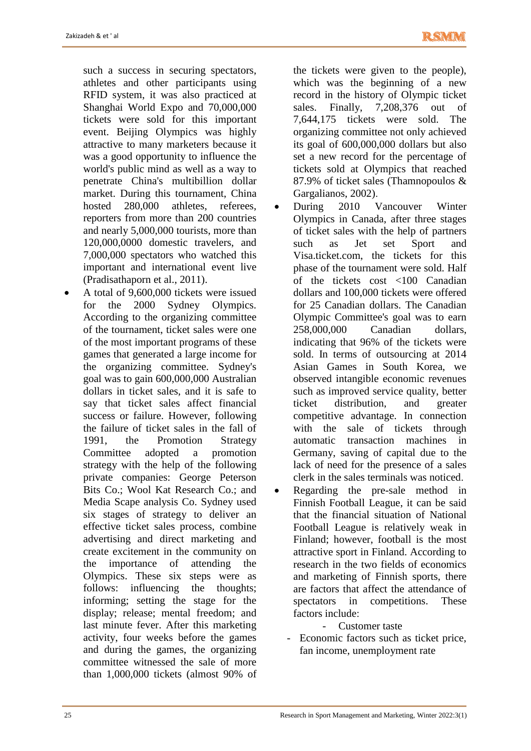such a success in securing spectators, athletes and other participants using RFID system, it was also practiced at Shanghai World Expo and 70,000,000 tickets were sold for this important event. Beijing Olympics was highly attractive to many marketers because it was a good opportunity to influence the world's public mind as well as a way to penetrate China's multibillion dollar market. During this tournament, China hosted 280,000 athletes, referees, reporters from more than 200 countries and nearly 5,000,000 tourists, more than 120,000,0000 domestic travelers, and 7,000,000 spectators who watched this important and international event live (Pradisathaporn et al., 2011).

 A total of 9,600,000 tickets were issued for the 2000 Sydney Olympics. According to the organizing committee of the tournament, ticket sales were one of the most important programs of these games that generated a large income for the organizing committee. Sydney's goal was to gain 600,000,000 Australian dollars in ticket sales, and it is safe to say that ticket sales affect financial success or failure. However, following the failure of ticket sales in the fall of 1991, the Promotion Strategy Committee adopted a promotion strategy with the help of the following private companies: George Peterson Bits Co.; Wool Kat Research Co.; and Media Scape analysis Co. Sydney used six stages of strategy to deliver an effective ticket sales process, combine advertising and direct marketing and create excitement in the community on the importance of attending the Olympics. These six steps were as follows: influencing the thoughts; informing; setting the stage for the display; release; mental freedom; and last minute fever. After this marketing activity, four weeks before the games and during the games, the organizing committee witnessed the sale of more than 1,000,000 tickets (almost 90% of the tickets were given to the people), which was the beginning of a new record in the history of Olympic ticket sales. Finally, 7,208,376 out of 7,644,175 tickets were sold. The organizing committee not only achieved its goal of 600,000,000 dollars but also set a new record for the percentage of tickets sold at Olympics that reached 87.9% of ticket sales (Thamnopoulos & Gargalianos, 2002).

- During 2010 Vancouver Winter Olympics in Canada, after three stages of ticket sales with the help of partners such as Jet set Sport and Visa.ticket.com, the tickets for this phase of the tournament were sold. Half of the tickets cost <100 Canadian dollars and 100,000 tickets were offered for 25 Canadian dollars. The Canadian Olympic Committee's goal was to earn 258,000,000 Canadian dollars, indicating that 96% of the tickets were sold. In terms of outsourcing at 2014 Asian Games in South Korea, we observed intangible economic revenues such as improved service quality, better ticket distribution, and greater competitive advantage. In connection with the sale of tickets through automatic transaction machines in Germany, saving of capital due to the lack of need for the presence of a sales clerk in the sales terminals was noticed.
- Regarding the pre-sale method in Finnish Football League, it can be said that the financial situation of National Football League is relatively weak in Finland; however, football is the most attractive sport in Finland. According to research in the two fields of economics and marketing of Finnish sports, there are factors that affect the attendance of spectators in competitions. These factors include:

- Customer taste

- Economic factors such as ticket price, fan income, unemployment rate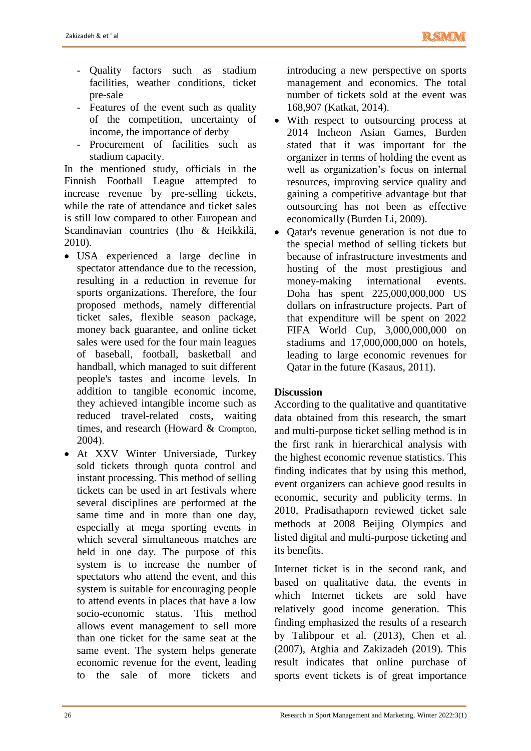- Quality factors such as stadium facilities, weather conditions, ticket pre-sale
- Features of the event such as quality of the competition, uncertainty of income, the importance of derby
- Procurement of facilities such as stadium capacity.

In the mentioned study, officials in the Finnish Football League attempted to increase revenue by pre-selling tickets, while the rate of attendance and ticket sales is still low compared to other European and Scandinavian countries (Iho & Heikkilä, 2010).

- USA experienced a large decline in spectator attendance due to the recession, resulting in a reduction in revenue for sports organizations. Therefore, the four proposed methods, namely differential ticket sales, flexible season package, money back guarantee, and online ticket sales were used for the four main leagues of baseball, football, basketball and handball, which managed to suit different people's tastes and income levels. In addition to tangible economic income, they achieved intangible income such as reduced travel-related costs, waiting times, and research (Howard & Crompton, 2004).
- At XXV Winter Universiade, Turkey sold tickets through quota control and instant processing. This method of selling tickets can be used in art festivals where several disciplines are performed at the same time and in more than one day, especially at mega sporting events in which several simultaneous matches are held in one day. The purpose of this system is to increase the number of spectators who attend the event, and this system is suitable for encouraging people to attend events in places that have a low socio-economic status. This method allows event management to sell more than one ticket for the same seat at the same event. The system helps generate economic revenue for the event, leading to the sale of more tickets and

introducing a new perspective on sports management and economics. The total number of tickets sold at the event was 168,907 (Katkat, 2014).

- With respect to outsourcing process at 2014 Incheon Asian Games, Burden stated that it was important for the organizer in terms of holding the event as well as organization's focus on internal resources, improving service quality and gaining a competitive advantage but that outsourcing has not been as effective economically (Burden Li, 2009).
- Qatar's revenue generation is not due to the special method of selling tickets but because of infrastructure investments and hosting of the most prestigious and money-making international events. Doha has spent 225,000,000,000 US dollars on infrastructure projects. Part of that expenditure will be spent on 2022 FIFA World Cup, 3,000,000,000 on stadiums and 17,000,000,000 on hotels, leading to large economic revenues for Qatar in the future (Kasaus, 2011).

# **Discussion**

According to the qualitative and quantitative data obtained from this research, the smart and multi-purpose ticket selling method is in the first rank in hierarchical analysis with the highest economic revenue statistics. This finding indicates that by using this method, event organizers can achieve good results in economic, security and publicity terms. In 2010, Pradisathaporn reviewed ticket sale methods at 2008 Beijing Olympics and listed digital and multi-purpose ticketing and its benefits.

Internet ticket is in the second rank, and based on qualitative data, the events in which Internet tickets are sold have relatively good income generation. This finding emphasized the results of a research by Talibpour et al. (2013), Chen et al. (2007), Atghia and Zakizadeh (2019). This result indicates that online purchase of sports event tickets is of great importance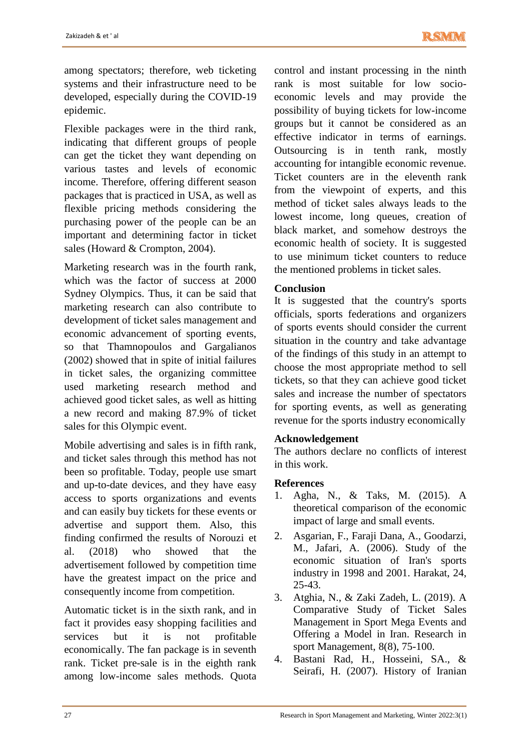among spectators; therefore, web ticketing systems and their infrastructure need to be developed, especially during the COVID-19 epidemic.

Flexible packages were in the third rank, indicating that different groups of people can get the ticket they want depending on various tastes and levels of economic income. Therefore, offering different season packages that is practiced in USA, as well as flexible pricing methods considering the purchasing power of the people can be an important and determining factor in ticket sales (Howard & Crompton, 2004).

Marketing research was in the fourth rank, which was the factor of success at 2000 Sydney Olympics. Thus, it can be said that marketing research can also contribute to development of ticket sales management and economic advancement of sporting events, so that Thamnopoulos and Gargalianos (2002) showed that in spite of initial failures in ticket sales, the organizing committee used marketing research method and achieved good ticket sales, as well as hitting a new record and making 87.9% of ticket sales for this Olympic event.

Mobile advertising and sales is in fifth rank, and ticket sales through this method has not been so profitable. Today, people use smart and up-to-date devices, and they have easy access to sports organizations and events and can easily buy tickets for these events or advertise and support them. Also, this finding confirmed the results of Norouzi et al. (2018) who showed that the advertisement followed by competition time have the greatest impact on the price and consequently income from competition.

Automatic ticket is in the sixth rank, and in fact it provides easy shopping facilities and services but it is not profitable economically. The fan package is in seventh rank. Ticket pre-sale is in the eighth rank among low-income sales methods. Quota

control and instant processing in the ninth rank is most suitable for low socioeconomic levels and may provide the possibility of buying tickets for low-income groups but it cannot be considered as an effective indicator in terms of earnings. Outsourcing is in tenth rank, mostly accounting for intangible economic revenue. Ticket counters are in the eleventh rank from the viewpoint of experts, and this method of ticket sales always leads to the lowest income, long queues, creation of black market, and somehow destroys the economic health of society. It is suggested to use minimum ticket counters to reduce the mentioned problems in ticket sales.

# **Conclusion**

It is suggested that the country's sports officials, sports federations and organizers of sports events should consider the current situation in the country and take advantage of the findings of this study in an attempt to choose the most appropriate method to sell tickets, so that they can achieve good ticket sales and increase the number of spectators for sporting events, as well as generating revenue for the sports industry economically

# **Acknowledgement**

The authors declare no conflicts of interest in this work.

# **References**

- 1. Agha, N., & Taks, M. (2015). A theoretical comparison of the economic impact of large and small events.
- 2. Asgarian, F., Faraji Dana, A., Goodarzi, M., Jafari, A. (2006). Study of the economic situation of Iran's sports industry in 1998 and 2001. Harakat, 24, 25-43.
- 3. Atghia, N., & Zaki Zadeh, L. (2019). A Comparative Study of Ticket Sales Management in Sport Mega Events and Offering a Model in Iran. Research in sport Management, 8(8), 75-100.
- 4. Bastani Rad, H., Hosseini, SA., & Seirafi, H. (2007). History of Iranian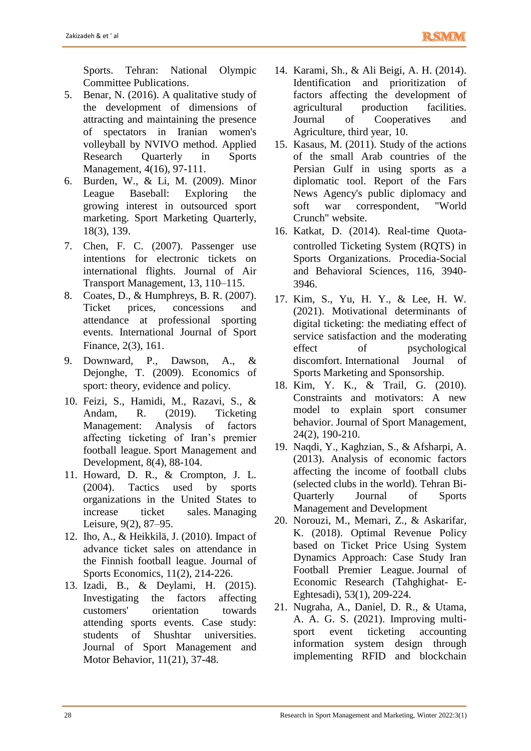Sports. Tehran: National Olympic Committee Publications.

- 5. Benar, N. (2016). A qualitative study of the development of dimensions of attracting and maintaining the presence of spectators in Iranian women's volleyball by NVIVO method. Applied Research Quarterly in Sports Management, 4(16), 97-111.
- 6. Burden, W., & Li, M. (2009). Minor League Baseball: Exploring the growing interest in outsourced sport marketing. Sport Marketing Quarterly, 18(3), 139.
- 7. Chen, F. C. (2007). Passenger use intentions for electronic tickets on international flights. Journal of Air Transport Management, 13, 110–115.
- 8. Coates, D., & Humphreys, B. R. (2007). Ticket prices, concessions and attendance at professional sporting events. International Journal of Sport Finance, 2(3), 161.
- 9. Downward, P., Dawson, A., & Dejonghe, T. (2009). Economics of sport: theory, evidence and policy.
- 10. Feizi, S., Hamidi, M., Razavi, S., & Andam, R. (2019). Ticketing Management: Analysis of factors affecting ticketing of Iran's premier football league. Sport Management and Development, 8(4), 88-104.
- 11. Howard, D. R., & Crompton, J. L. (2004). Tactics used by sports organizations in the United States to increase ticket sales. Managing Leisure, 9(2), 87–95.
- 12. Iho, A., & Heikkilä, J. (2010). Impact of advance ticket sales on attendance in the Finnish football league. Journal of Sports Economics, 11(2), 214-226.
- 13. Izadi, B., & Deylami, H. (2015). Investigating the factors affecting customers' orientation towards attending sports events. Case study: students of Shushtar universities. Journal of Sport Management and Motor Behavior, 11(21), 37-48.
- 14. Karami, Sh., & Ali Beigi, A. H. (2014). Identification and prioritization of factors affecting the development of agricultural production facilities. Journal of Cooperatives and Agriculture, third year, 10.
- 15. Kasaus, M. (2011). Study of the actions of the small Arab countries of the Persian Gulf in using sports as a diplomatic tool. Report of the Fars News Agency's public diplomacy and soft war correspondent, "World Crunch" website.
- 16. Katkat, D. (2014). Real-time Quotacontrolled Ticketing System (RQTS) in Sports Organizations. Procedia-Social and Behavioral Sciences, 116, 3940- 3946.
- 17. Kim, S., Yu, H. Y., & Lee, H. W. (2021). Motivational determinants of digital ticketing: the mediating effect of service satisfaction and the moderating effect of psychological discomfort. International Journal of Sports Marketing and Sponsorship.
- 18. Kim, Y. K., & Trail, G. (2010). Constraints and motivators: A new model to explain sport consumer behavior. Journal of Sport Management, 24(2), 190-210.
- 19. Naqdi, Y., Kaghzian, S., & Afsharpi, A. (2013). Analysis of economic factors affecting the income of football clubs (selected clubs in the world). Tehran Bi-Quarterly Journal of Sports Management and Development
- 20. Norouzi, M., Memari, Z., & Askarifar, K. (2018). Optimal Revenue Policy based on Ticket Price Using System Dynamics Approach: Case Study Iran Football Premier League. Journal of Economic Research (Tahghighat- E-Eghtesadi), 53(1), 209-224.
- 21. Nugraha, A., Daniel, D. R., & Utama, A. A. G. S. (2021). Improving multisport event ticketing accounting information system design through implementing RFID and blockchain